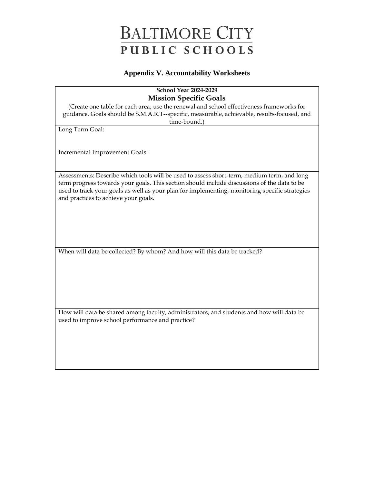#### **Appendix V. Accountability Worksheets**

### **School Year 2024-2029 Mission Specific Goals**

(Create one table for each area; use the renewal and school effectiveness frameworks for guidance. Goals should be S.M.A.R.T--specific, measurable, achievable, results-focused, and time-bound.)

Long Term Goal:

Incremental Improvement Goals:

Assessments: Describe which tools will be used to assess short-term, medium term, and long term progress towards your goals. This section should include discussions of the data to be used to track your goals as well as your plan for implementing, monitoring specific strategies and practices to achieve your goals.

When will data be collected? By whom? And how will this data be tracked?

How will data be shared among faculty, administrators, and students and how will data be used to improve school performance and practice?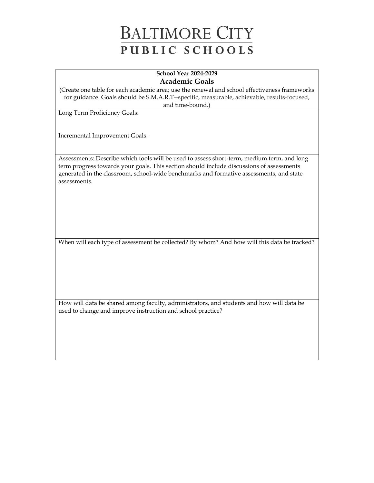#### **School Year 2024-2029 Academic Goals**

(Create one table for each academic area; use the renewal and school effectiveness frameworks for guidance. Goals should be S.M.A.R.T--specific, measurable, achievable, results-focused, and time-bound.)

Long Term Proficiency Goals:

Incremental Improvement Goals:

Assessments: Describe which tools will be used to assess short-term, medium term, and long term progress towards your goals. This section should include discussions of assessments generated in the classroom, school-wide benchmarks and formative assessments, and state assessments.

When will each type of assessment be collected? By whom? And how will this data be tracked?

How will data be shared among faculty, administrators, and students and how will data be used to change and improve instruction and school practice?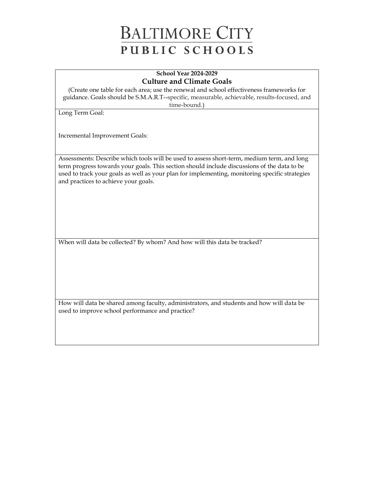#### **School Year 2024-2029 Culture and Climate Goals**

(Create one table for each area; use the renewal and school effectiveness frameworks for guidance. Goals should be S.M.A.R.T--specific, measurable, achievable, results-focused, and time-bound.)

Long Term Goal:

Incremental Improvement Goals:

Assessments: Describe which tools will be used to assess short-term, medium term, and long term progress towards your goals. This section should include discussions of the data to be used to track your goals as well as your plan for implementing, monitoring specific strategies and practices to achieve your goals.

When will data be collected? By whom? And how will this data be tracked?

How will data be shared among faculty, administrators, and students and how will data be used to improve school performance and practice?